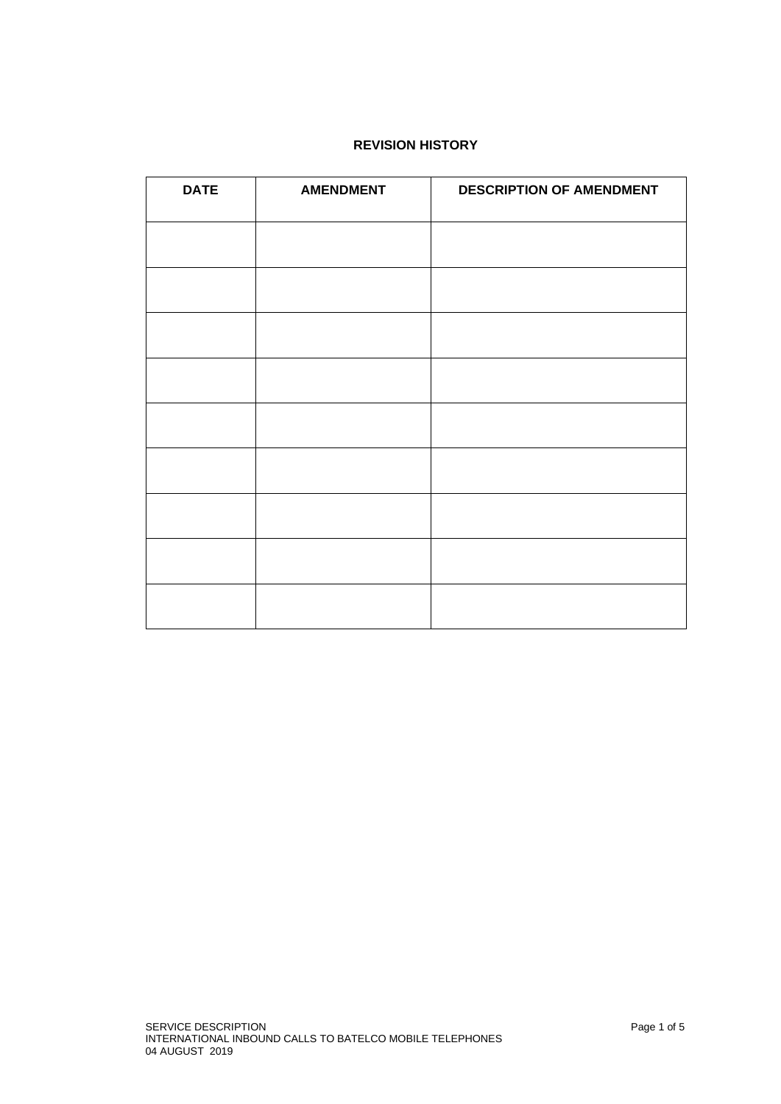## **REVISION HISTORY**

| <b>DATE</b> | <b>AMENDMENT</b> | <b>DESCRIPTION OF AMENDMENT</b> |
|-------------|------------------|---------------------------------|
|             |                  |                                 |
|             |                  |                                 |
|             |                  |                                 |
|             |                  |                                 |
|             |                  |                                 |
|             |                  |                                 |
|             |                  |                                 |
|             |                  |                                 |
|             |                  |                                 |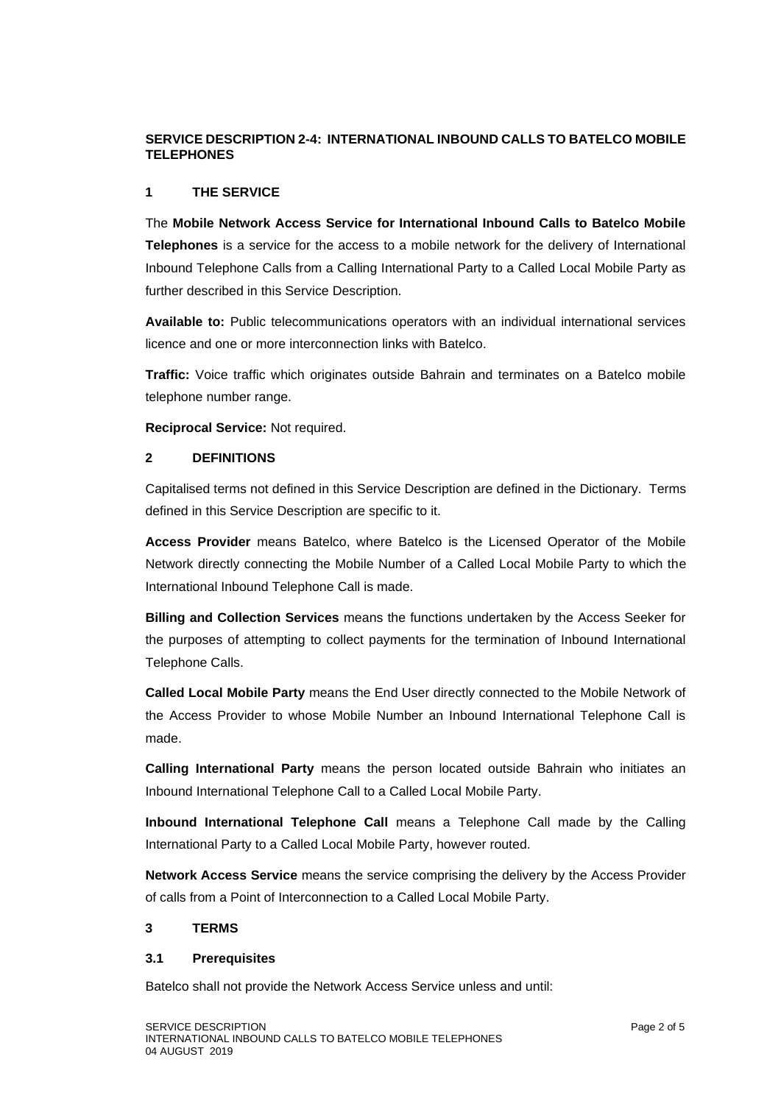# **SERVICE DESCRIPTION 2-4: INTERNATIONAL INBOUND CALLS TO BATELCO MOBILE TELEPHONES**

### **1 THE SERVICE**

The **Mobile Network Access Service for International Inbound Calls to Batelco Mobile Telephones** is a service for the access to a mobile network for the delivery of International Inbound Telephone Calls from a Calling International Party to a Called Local Mobile Party as further described in this Service Description.

**Available to:** Public telecommunications operators with an individual international services licence and one or more interconnection links with Batelco.

**Traffic:** Voice traffic which originates outside Bahrain and terminates on a Batelco mobile telephone number range.

**Reciprocal Service:** Not required.

### **2 DEFINITIONS**

Capitalised terms not defined in this Service Description are defined in the Dictionary. Terms defined in this Service Description are specific to it.

**Access Provider** means Batelco, where Batelco is the Licensed Operator of the Mobile Network directly connecting the Mobile Number of a Called Local Mobile Party to which the International Inbound Telephone Call is made.

**Billing and Collection Services** means the functions undertaken by the Access Seeker for the purposes of attempting to collect payments for the termination of Inbound International Telephone Calls.

**Called Local Mobile Party** means the End User directly connected to the Mobile Network of the Access Provider to whose Mobile Number an Inbound International Telephone Call is made.

**Calling International Party** means the person located outside Bahrain who initiates an Inbound International Telephone Call to a Called Local Mobile Party.

**Inbound International Telephone Call** means a Telephone Call made by the Calling International Party to a Called Local Mobile Party, however routed.

**Network Access Service** means the service comprising the delivery by the Access Provider of calls from a Point of Interconnection to a Called Local Mobile Party.

## **3 TERMS**

## **3.1 Prerequisites**

Batelco shall not provide the Network Access Service unless and until: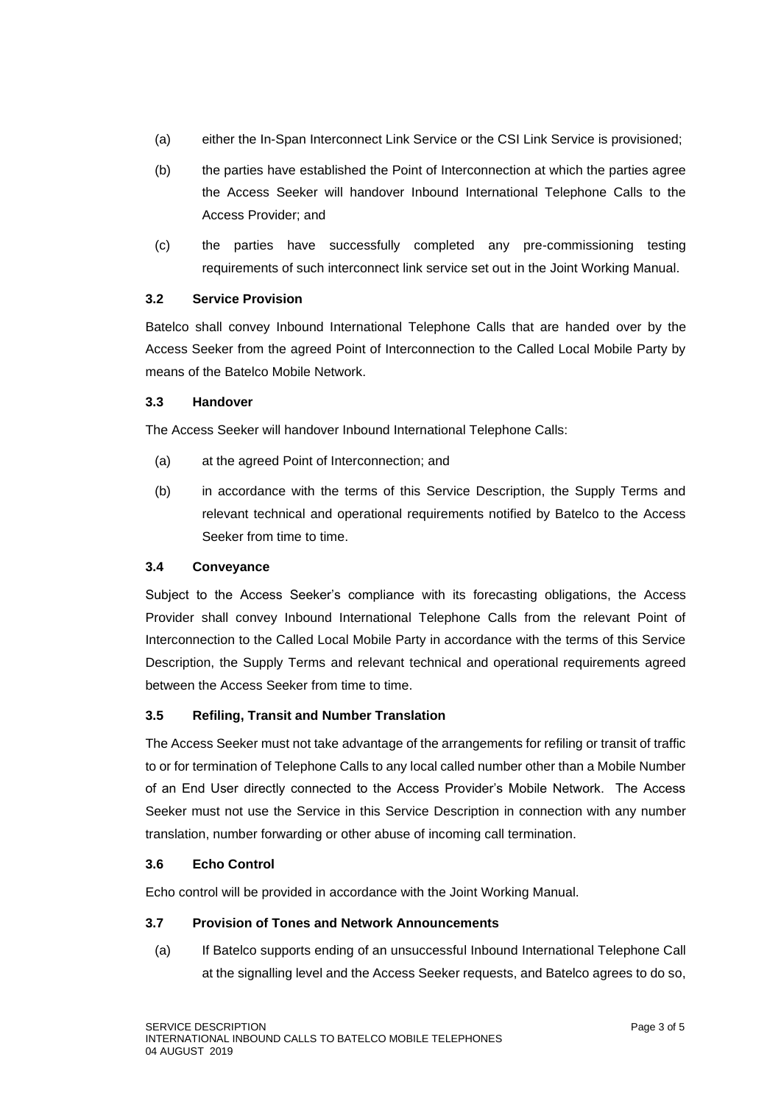- (a) either the In-Span Interconnect Link Service or the CSI Link Service is provisioned;
- (b) the parties have established the Point of Interconnection at which the parties agree the Access Seeker will handover Inbound International Telephone Calls to the Access Provider; and
- (c) the parties have successfully completed any pre-commissioning testing requirements of such interconnect link service set out in the Joint Working Manual.

## **3.2 Service Provision**

Batelco shall convey Inbound International Telephone Calls that are handed over by the Access Seeker from the agreed Point of Interconnection to the Called Local Mobile Party by means of the Batelco Mobile Network.

### **3.3 Handover**

The Access Seeker will handover Inbound International Telephone Calls:

- (a) at the agreed Point of Interconnection; and
- (b) in accordance with the terms of this Service Description, the Supply Terms and relevant technical and operational requirements notified by Batelco to the Access Seeker from time to time.

## **3.4 Conveyance**

Subject to the Access Seeker's compliance with its forecasting obligations, the Access Provider shall convey Inbound International Telephone Calls from the relevant Point of Interconnection to the Called Local Mobile Party in accordance with the terms of this Service Description, the Supply Terms and relevant technical and operational requirements agreed between the Access Seeker from time to time.

## **3.5 Refiling, Transit and Number Translation**

The Access Seeker must not take advantage of the arrangements for refiling or transit of traffic to or for termination of Telephone Calls to any local called number other than a Mobile Number of an End User directly connected to the Access Provider's Mobile Network. The Access Seeker must not use the Service in this Service Description in connection with any number translation, number forwarding or other abuse of incoming call termination.

#### **3.6 Echo Control**

Echo control will be provided in accordance with the Joint Working Manual.

#### **3.7 Provision of Tones and Network Announcements**

(a) If Batelco supports ending of an unsuccessful Inbound International Telephone Call at the signalling level and the Access Seeker requests, and Batelco agrees to do so,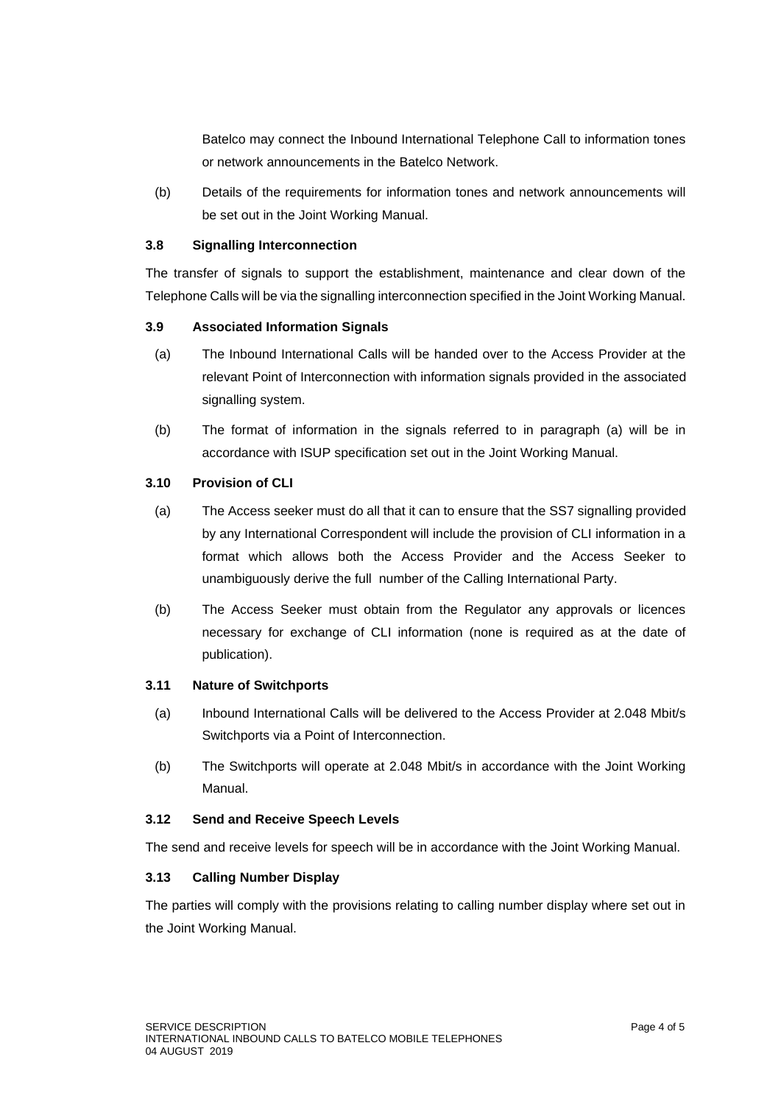Batelco may connect the Inbound International Telephone Call to information tones or network announcements in the Batelco Network.

(b) Details of the requirements for information tones and network announcements will be set out in the Joint Working Manual.

# **3.8 Signalling Interconnection**

The transfer of signals to support the establishment, maintenance and clear down of the Telephone Calls will be via the signalling interconnection specified in the Joint Working Manual.

# **3.9 Associated Information Signals**

- (a) The Inbound International Calls will be handed over to the Access Provider at the relevant Point of Interconnection with information signals provided in the associated signalling system.
- (b) The format of information in the signals referred to in paragraph (a) will be in accordance with ISUP specification set out in the Joint Working Manual.

## **3.10 Provision of CLI**

- (a) The Access seeker must do all that it can to ensure that the SS7 signalling provided by any International Correspondent will include the provision of CLI information in a format which allows both the Access Provider and the Access Seeker to unambiguously derive the full number of the Calling International Party.
- (b) The Access Seeker must obtain from the Regulator any approvals or licences necessary for exchange of CLI information (none is required as at the date of publication).

# **3.11 Nature of Switchports**

- (a) Inbound International Calls will be delivered to the Access Provider at 2.048 Mbit/s Switchports via a Point of Interconnection.
- (b) The Switchports will operate at 2.048 Mbit/s in accordance with the Joint Working Manual.

## **3.12 Send and Receive Speech Levels**

The send and receive levels for speech will be in accordance with the Joint Working Manual.

## **3.13 Calling Number Display**

The parties will comply with the provisions relating to calling number display where set out in the Joint Working Manual.